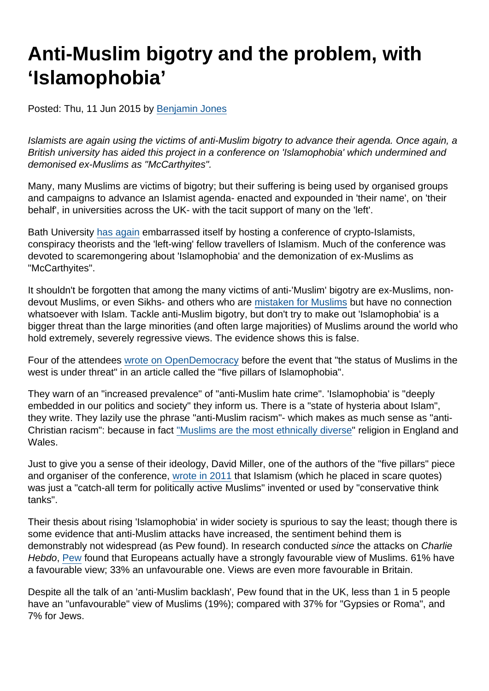# Anti-Muslim bigotry and the problem, with 'Islamophobia'

Posted: Thu, 11 Jun 2015 by [Benjamin Jones](https://www.secularism.org.uk/opinion/authors/851)

Islamists are again using the victims of anti-Muslim bigotry to advance their agenda. Once again, a British university has aided this project in a conference on 'Islamophobia' which undermined and demonised ex-Muslims as "McCarthyites".

Many, many Muslims are victims of bigotry; but their suffering is being used by organised groups and campaigns to advance an Islamist agenda- enacted and expounded in 'their name', on 'their behalf', in universities across the UK- with the tacit support of many on the 'left'.

Bath University [has again](https://www.secularism.org.uk/news/2015/04/bath-student-union-and-university-chaplains-blocked-comedy-sketch-which-depicted-mohammed) embarrassed itself by hosting a conference of crypto-Islamists, conspiracy theorists and the 'left-wing' fellow travellers of Islamism. Much of the conference was devoted to scaremongering about 'Islamophobia' and the demonization of ex-Muslims as "McCarthyites".

It shouldn't be forgotten that among the many victims of anti-'Muslim' bigotry are ex-Muslims, nondevout Muslims, or even Sikhs- and others who are [mistaken for Muslims](http://www.theguardian.com/world/2012/aug/08/sikhs-targeted-anti-muslim-extremists) but have no connection whatsoever with Islam. Tackle anti-Muslim bigotry, but don't try to make out 'Islamophobia' is a bigger threat than the large minorities (and often large majorities) of Muslims around the world who hold extremely, severely regressive views. The evidence shows this is false.

Four of the attendees [wrote on OpenDemocracy](https://www.opendemocracy.net/opensecurity/david-miller-tom-mills-hilary-aked-narzanin-massoumi/five-pillars-of-islamophobia) before the event that "the status of Muslims in the west is under threat" in an article called the "five pillars of Islamophobia".

They warn of an "increased prevalence" of "anti-Muslim hate crime". 'Islamophobia' is "deeply embedded in our politics and society" they inform us. There is a "state of hysteria about Islam", they write. They lazily use the phrase "anti-Muslim racism"- which makes as much sense as "anti-Christian racism": because in fact ["Muslims are the most ethnically diverse"](http://www.theguardian.com/news/datablog/2013/may/16/uk-census-religion-age-ethnicity-country-of-birth) religion in England and Wales.

Just to give you a sense of their ideology, David Miller, one of the authors of the "five pillars" piece and organiser of the conference, [wrote in 2011](http://www.theguardian.com/commentisfree/belief/2011/aug/23/thinktanks-islamism-muslims-islamophobia) that Islamism (which he placed in scare quotes) was just a "catch-all term for politically active Muslims" invented or used by "conservative think tanks".

Their thesis about rising 'Islamophobia' in wider society is spurious to say the least; though there is some evidence that anti-Muslim attacks have increased, the sentiment behind them is demonstrably not widespread (as Pew found). In research conducted since the attacks on Charlie Hebdo, [Pew](http://www.pewglobal.org/files/2015/06/Pew-Research-Center-European-Union-Report-FINAL-June-2-20151.pdf) found that Europeans actually have a strongly favourable view of Muslims. 61% have a favourable view; 33% an unfavourable one. Views are even more favourable in Britain.

Despite all the talk of an 'anti-Muslim backlash', Pew found that in the UK, less than 1 in 5 people have an "unfavourable" view of Muslims (19%); compared with 37% for "Gypsies or Roma", and 7% for Jews.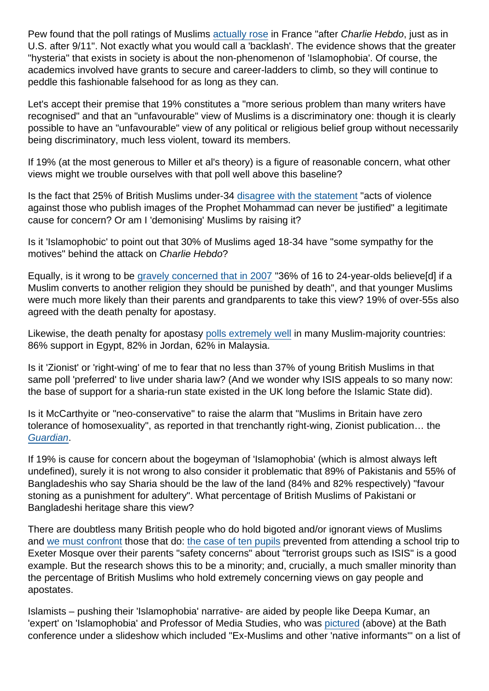Pew found that the poll ratings of Muslims [actually rose](http://www.pewresearch.org/fact-tank/2015/06/03/ratings-of-muslims-in-france-and-us/) in France "after Charlie Hebdo, just as in U.S. after 9/11". Not exactly what you would call a 'backlash'. The evidence shows that the greater "hysteria" that exists in society is about the non-phenomenon of 'Islamophobia'. Of course, the academics involved have grants to secure and career-ladders to climb, so they will continue to peddle this fashionable falsehood for as long as they can.

Let's accept their premise that 19% constitutes a "more serious problem than many writers have recognised" and that an "unfavourable" view of Muslims is a discriminatory one: though it is clearly possible to have an "unfavourable" view of any political or religious belief group without necessarily being discriminatory, much less violent, toward its members.

If 19% (at the most generous to Miller et al's theory) is a figure of reasonable concern, what other views might we trouble ourselves with that poll well above this baseline?

Is the fact that 25% of British Muslims under-34 [disagree with the statement](https://www.secularism.org.uk/news/2015/02/new-poll-shows-significant-minority-of-uk-muslims-support-attacks-on-charlie-hebdo) "acts of violence against those who publish images of the Prophet Mohammad can never be justified" a legitimate cause for concern? Or am I 'demonising' Muslims by raising it?

Is it 'Islamophobic' to point out that 30% of Muslims aged 18-34 have "some sympathy for the motives" behind the attack on Charlie Hebdo?

Equally, is it wrong to be [gravely concerned that in 2007](http://news.bbc.co.uk/1/hi/uk/6309983.stm) "36% of 16 to 24-year-olds believe[d] if a Muslim converts to another religion they should be punished by death", and that younger Muslims were much more likely than their parents and grandparents to take this view? 19% of over-55s also agreed with the death penalty for apostasy.

Likewise, the death penalty for apostasy [polls extremely well](http://www.pewforum.org/2013/04/30/the-worlds-muslims-religion-politics-society-beliefs-about-sharia/) in many Muslim-majority countries: 86% support in Egypt, 82% in Jordan, 62% in Malaysia.

Is it 'Zionist' or 'right-wing' of me to fear that no less than 37% of young British Muslims in that same poll 'preferred' to live under sharia law? (And we wonder why ISIS appeals to so many now: the base of support for a sharia-run state existed in the UK long before the Islamic State did).

Is it McCarthyite or "neo-conservative" to raise the alarm that "Muslims in Britain have zero tolerance of homosexuality", as reported in that trenchantly right-wing, Zionist publication… the [Guardian](http://www.theguardian.com/uk/2009/may/07/muslims-britain-france-germany-homosexuality).

If 19% is cause for concern about the bogeyman of 'Islamophobia' (which is almost always left undefined), surely it is not wrong to also consider it problematic that 89% of Pakistanis and 55% of Bangladeshis who say Sharia should be the law of the land (84% and 82% respectively) "favour stoning as a punishment for adultery". What percentage of British Muslims of Pakistani or Bangladeshi heritage share this view?

There are doubtless many British people who do hold bigoted and/or ignorant views of Muslims and [we must confront](https://www.secularism.org.uk/news/2015/06/secularists-call-for-commitment-to-free-speech-and-civil-society-to-challenge-bigotry) those that do: [the case of ten pupils](http://www.theguardian.com/education/2015/apr/30/exeter-mosque-parents-ban-children-school-visit) prevented from attending a school trip to Exeter Mosque over their parents "safety concerns" about "terrorist groups such as ISIS" is a good example. But the research shows this to be a minority; and, crucially, a much smaller minority than the percentage of British Muslims who hold extremely concerning views on gay people and apostates.

Islamists – pushing their 'Islamophobia' narrative- are aided by people like Deepa Kumar, an 'expert' on 'Islamophobia' and Professor of Media Studies, who was [pictured](https://twitter.com/AnisaMussi/status/608914762173399040) (above) at the Bath conference under a slideshow which included "Ex-Muslims and other 'native informants'" on a list of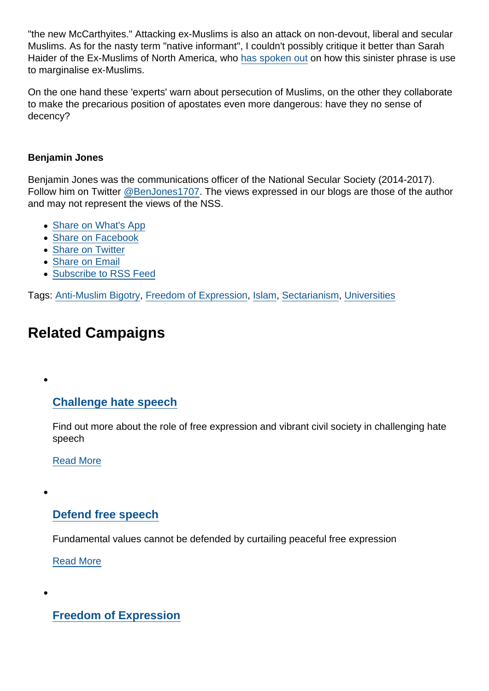"the new McCarthyites." Attacking ex-Muslims is also an attack on non-devout, liberal and secular Muslims. As for the nasty term "native informant", I couldn't possibly critique it better than Sarah Haider of the Ex-Muslims of North America, who [has spoken out](http://www.dailykos.com/story/2015/05/31/1389271/-Sarah-Haider-Islam-and-the-Necessity-of-Liberal-Critique) on how this sinister phrase is use to marginalise ex-Muslims.

On the one hand these 'experts' warn about persecution of Muslims, on the other they collaborate to make the precarious position of apostates even more dangerous: have they no sense of decency?

#### Benjamin Jones

Benjamin Jones was the communications officer of the National Secular Society (2014-2017). Follow him on Twitter [@BenJones1707.](https://twitter.com/BenJones1707) The views expressed in our blogs are those of the author and may not represent the views of the NSS.

- [Share on What's App](whatsapp://send?text=http://www.secularism.org.uk/opinion/2015/06/the-islamophobia-delusion?format=pdf)
- [Share on Facebook](https://www.facebook.com/sharer/sharer.php?u=http://www.secularism.org.uk/opinion/2015/06/the-islamophobia-delusion?format=pdf&t=Anti-Muslim+bigotry+and+the+problem,+with+‘Islamophobia’)
- [Share on Twitter](https://twitter.com/intent/tweet?url=http://www.secularism.org.uk/opinion/2015/06/the-islamophobia-delusion?format=pdf&text=Anti-Muslim+bigotry+and+the+problem,+with+‘Islamophobia’&via=NatSecSoc)
- [Share on Email](https://www.secularism.org.uk/share.html?url=http://www.secularism.org.uk/opinion/2015/06/the-islamophobia-delusion?format=pdf&title=Anti-Muslim+bigotry+and+the+problem,+with+‘Islamophobia’)
- [Subscribe to RSS Feed](/mnt/web-data/www/cp-nss/feeds/rss/news)

Tags: [Anti-Muslim Bigotry,](https://www.secularism.org.uk/opinion/tags/Anti-Muslim+Bigotry) [Freedom of Expression](https://www.secularism.org.uk/opinion/tags/Freedom+of+Expression), [Islam,](https://www.secularism.org.uk/opinion/tags/Islam) [Sectarianism,](https://www.secularism.org.uk/opinion/tags/Sectarianism) [Universities](https://www.secularism.org.uk/opinion/tags/Universities)

## Related Campaigns

#### [Challenge hate speech](https://www.secularism.org.uk/hate-speech/)

Find out more about the role of free expression and vibrant civil society in challenging hate speech

[Read More](https://www.secularism.org.uk/hate-speech/)

#### [Defend free speech](https://www.secularism.org.uk/defend-free-speech/)

Fundamental values cannot be defended by curtailing peaceful free expression

[Read More](https://www.secularism.org.uk/defend-free-speech/)

[Freedom of Expression](https://www.secularism.org.uk/free-expression/)